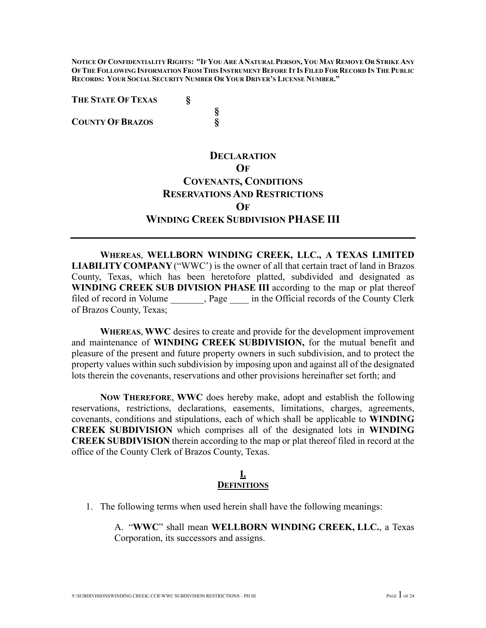**NOTICE OF CONFIDENTIALITY RIGHTS: "IF YOU ARE ANATURAL PERSON, YOU MAY REMOVE OR STRIKE ANY OF THE FOLLOWING INFORMATION FROM THIS INSTRUMENT BEFORE IT IS FILED FOR RECORD IN THE PUBLIC RECORDS: YOUR SOCIAL SECURITY NUMBER OR YOUR DRIVER'S LICENSE NUMBER."**

**§**

**THE STATE OF TEXAS §**

**COUNTY OF BRAZOS §**

# **DECLARATION OF COVENANTS, CONDITIONS RESERVATIONS AND RESTRICTIONS OF WINDING CREEK SUBDIVISION PHASE III**

**WHEREAS**, **WELLBORN WINDING CREEK, LLC., A TEXAS LIMITED LIABILITY COMPANY** ("WWC') is the owner of all that certain tract of land in Brazos County, Texas, which has been heretofore platted, subdivided and designated as **WINDING CREEK SUB DIVISION PHASE III** according to the map or plat thereof filed of record in Volume \_\_\_\_\_\_\_, Page \_\_\_\_\_ in the Official records of the County Clerk of Brazos County, Texas;

**WHEREAS**, **WWC** desires to create and provide for the development improvement and maintenance of **WINDING CREEK SUBDIVISION,** for the mutual benefit and pleasure of the present and future property owners in such subdivision, and to protect the property values within such subdivision by imposing upon and against all of the designated lots therein the covenants, reservations and other provisions hereinafter set forth; and

**NOW THEREFORE**, **WWC** does hereby make, adopt and establish the following reservations, restrictions, declarations, easements, limitations, charges, agreements, covenants, conditions and stipulations, each of which shall be applicable to **WINDING CREEK SUBDIVISION** which comprises all of the designated lots in **WINDING CREEK SUBDIVISION** therein according to the map or plat thereof filed in record at the office of the County Clerk of Brazos County, Texas.

### **I. DEFINITIONS**

1. The following terms when used herein shall have the following meanings:

A. "**WWC**" shall mean **WELLBORN WINDING CREEK, LLC.**, a Texas Corporation, its successors and assigns.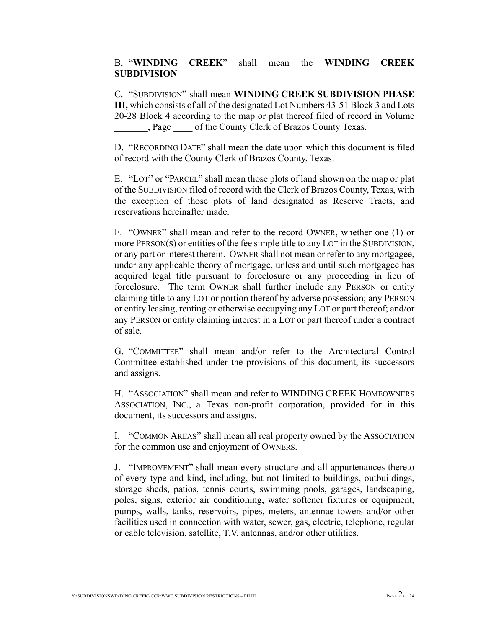### B. "**WINDING CREEK**" shall mean the **WINDING CREEK SUBDIVISION**

C. "SUBDIVISION" shall mean **WINDING CREEK SUBDIVISION PHASE III,** which consists of all of the designated Lot Numbers 43-51 Block 3 and Lots 20-28 Block 4 according to the map or plat thereof filed of record in Volume \_\_\_\_\_\_\_, Page \_\_\_\_ of the County Clerk of Brazos County Texas.

D. "RECORDING DATE" shall mean the date upon which this document is filed of record with the County Clerk of Brazos County, Texas.

E. "LOT" or "PARCEL" shall mean those plots of land shown on the map or plat of the SUBDIVISION filed of record with the Clerk of Brazos County, Texas, with the exception of those plots of land designated as Reserve Tracts, and reservations hereinafter made.

F. "OWNER" shall mean and refer to the record OWNER, whether one (1) or more PERSON(S) or entities of the fee simple title to any LOT in the SUBDIVISION, or any part or interest therein. OWNER shall not mean or refer to any mortgagee, under any applicable theory of mortgage, unless and until such mortgagee has acquired legal title pursuant to foreclosure or any proceeding in lieu of foreclosure. The term OWNER shall further include any PERSON or entity claiming title to any LOT or portion thereof by adverse possession; any PERSON or entity leasing, renting or otherwise occupying any LOT or part thereof; and/or any PERSON or entity claiming interest in a LOT or part thereof under a contract of sale.

G. "COMMITTEE" shall mean and/or refer to the Architectural Control Committee established under the provisions of this document, its successors and assigns.

H. "ASSOCIATION" shall mean and refer to WINDING CREEK HOMEOWNERS ASSOCIATION, INC., a Texas non-profit corporation, provided for in this document, its successors and assigns.

I. "COMMON AREAS" shall mean all real property owned by the ASSOCIATION for the common use and enjoyment of OWNERS.

J. "IMPROVEMENT" shall mean every structure and all appurtenances thereto of every type and kind, including, but not limited to buildings, outbuildings, storage sheds, patios, tennis courts, swimming pools, garages, landscaping, poles, signs, exterior air conditioning, water softener fixtures or equipment, pumps, walls, tanks, reservoirs, pipes, meters, antennae towers and/or other facilities used in connection with water, sewer, gas, electric, telephone, regular or cable television, satellite, T.V. antennas, and/or other utilities.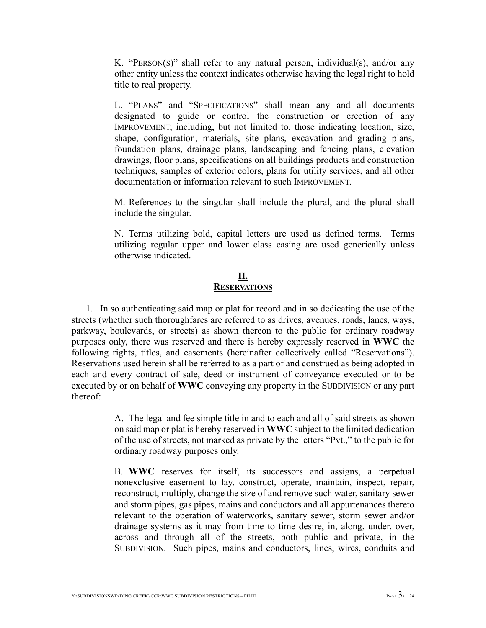K. "PERSON(S)" shall refer to any natural person, individual(s), and/or any other entity unless the context indicates otherwise having the legal right to hold title to real property.

L. "PLANS" and "SPECIFICATIONS" shall mean any and all documents designated to guide or control the construction or erection of any IMPROVEMENT, including, but not limited to, those indicating location, size, shape, configuration, materials, site plans, excavation and grading plans, foundation plans, drainage plans, landscaping and fencing plans, elevation drawings, floor plans, specifications on all buildings products and construction techniques, samples of exterior colors, plans for utility services, and all other documentation or information relevant to such IMPROVEMENT.

M. References to the singular shall include the plural, and the plural shall include the singular.

N. Terms utilizing bold, capital letters are used as defined terms. Terms utilizing regular upper and lower class casing are used generically unless otherwise indicated.

### **II. RESERVATIONS**

1. In so authenticating said map or plat for record and in so dedicating the use of the streets (whether such thoroughfares are referred to as drives, avenues, roads, lanes, ways, parkway, boulevards, or streets) as shown thereon to the public for ordinary roadway purposes only, there was reserved and there is hereby expressly reserved in **WWC** the following rights, titles, and easements (hereinafter collectively called "Reservations"). Reservations used herein shall be referred to as a part of and construed as being adopted in each and every contract of sale, deed or instrument of conveyance executed or to be executed by or on behalf of **WWC** conveying any property in the SUBDIVISION or any part thereof:

> A. The legal and fee simple title in and to each and all of said streets as shown on said map or plat is hereby reserved in **WWC** subject to the limited dedication of the use of streets, not marked as private by the letters "Pvt.," to the public for ordinary roadway purposes only.

> B. **WWC** reserves for itself, its successors and assigns, a perpetual nonexclusive easement to lay, construct, operate, maintain, inspect, repair, reconstruct, multiply, change the size of and remove such water, sanitary sewer and storm pipes, gas pipes, mains and conductors and all appurtenances thereto relevant to the operation of waterworks, sanitary sewer, storm sewer and/or drainage systems as it may from time to time desire, in, along, under, over, across and through all of the streets, both public and private, in the SUBDIVISION. Such pipes, mains and conductors, lines, wires, conduits and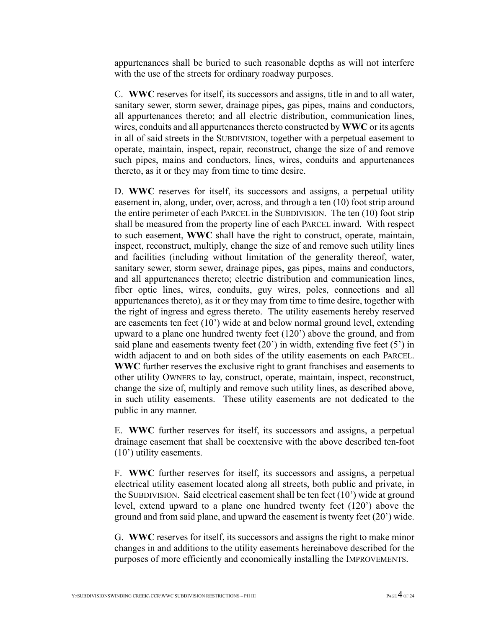appurtenances shall be buried to such reasonable depths as will not interfere with the use of the streets for ordinary roadway purposes.

C. **WWC** reserves for itself, its successors and assigns, title in and to all water, sanitary sewer, storm sewer, drainage pipes, gas pipes, mains and conductors, all appurtenances thereto; and all electric distribution, communication lines, wires, conduits and all appurtenances thereto constructed by **WWC** or its agents in all of said streets in the SUBDIVISION, together with a perpetual easement to operate, maintain, inspect, repair, reconstruct, change the size of and remove such pipes, mains and conductors, lines, wires, conduits and appurtenances thereto, as it or they may from time to time desire.

D. **WWC** reserves for itself, its successors and assigns, a perpetual utility easement in, along, under, over, across, and through a ten (10) foot strip around the entire perimeter of each PARCEL in the SUBDIVISION. The ten (10) foot strip shall be measured from the property line of each PARCEL inward. With respect to such easement, **WWC** shall have the right to construct, operate, maintain, inspect, reconstruct, multiply, change the size of and remove such utility lines and facilities (including without limitation of the generality thereof, water, sanitary sewer, storm sewer, drainage pipes, gas pipes, mains and conductors, and all appurtenances thereto; electric distribution and communication lines, fiber optic lines, wires, conduits, guy wires, poles, connections and all appurtenances thereto), as it or they may from time to time desire, together with the right of ingress and egress thereto. The utility easements hereby reserved are easements ten feet (10') wide at and below normal ground level, extending upward to a plane one hundred twenty feet (120') above the ground, and from said plane and easements twenty feet  $(20')$  in width, extending five feet  $(5')$  in width adjacent to and on both sides of the utility easements on each PARCEL. **WWC** further reserves the exclusive right to grant franchises and easements to other utility OWNERS to lay, construct, operate, maintain, inspect, reconstruct, change the size of, multiply and remove such utility lines, as described above, in such utility easements. These utility easements are not dedicated to the public in any manner.

E. **WWC** further reserves for itself, its successors and assigns, a perpetual drainage easement that shall be coextensive with the above described ten-foot (10') utility easements.

F. **WWC** further reserves for itself, its successors and assigns, a perpetual electrical utility easement located along all streets, both public and private, in the SUBDIVISION. Said electrical easement shall be ten feet (10') wide at ground level, extend upward to a plane one hundred twenty feet (120') above the ground and from said plane, and upward the easement is twenty feet (20') wide.

G. **WWC** reserves for itself, its successors and assigns the right to make minor changes in and additions to the utility easements hereinabove described for the purposes of more efficiently and economically installing the IMPROVEMENTS.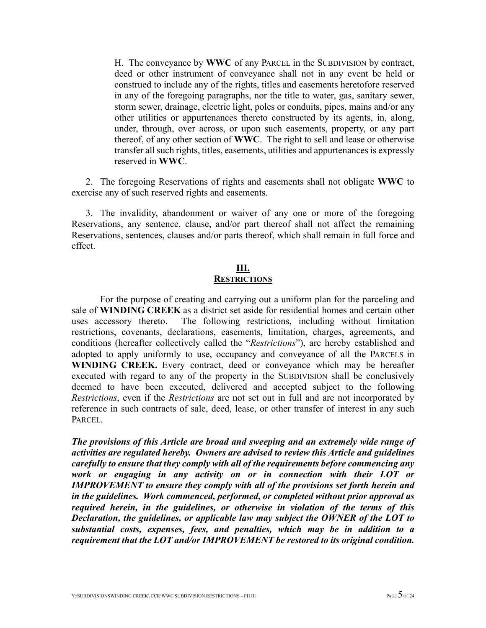H. The conveyance by **WWC** of any PARCEL in the SUBDIVISION by contract, deed or other instrument of conveyance shall not in any event be held or construed to include any of the rights, titles and easements heretofore reserved in any of the foregoing paragraphs, nor the title to water, gas, sanitary sewer, storm sewer, drainage, electric light, poles or conduits, pipes, mains and/or any other utilities or appurtenances thereto constructed by its agents, in, along, under, through, over across, or upon such easements, property, or any part thereof, of any other section of **WWC**. The right to sell and lease or otherwise transfer all such rights, titles, easements, utilities and appurtenances is expressly reserved in **WWC**.

2. The foregoing Reservations of rights and easements shall not obligate **WWC** to exercise any of such reserved rights and easements.

3. The invalidity, abandonment or waiver of any one or more of the foregoing Reservations, any sentence, clause, and/or part thereof shall not affect the remaining Reservations, sentences, clauses and/or parts thereof, which shall remain in full force and effect.

#### **III. RESTRICTIONS**

For the purpose of creating and carrying out a uniform plan for the parceling and sale of **WINDING CREEK** as a district set aside for residential homes and certain other uses accessory thereto. The following restrictions, including without limitation restrictions, covenants, declarations, easements, limitation, charges, agreements, and conditions (hereafter collectively called the "*Restrictions*"), are hereby established and adopted to apply uniformly to use, occupancy and conveyance of all the PARCELS in **WINDING CREEK.** Every contract, deed or conveyance which may be hereafter executed with regard to any of the property in the SUBDIVISION shall be conclusively deemed to have been executed, delivered and accepted subject to the following *Restrictions*, even if the *Restrictions* are not set out in full and are not incorporated by reference in such contracts of sale, deed, lease, or other transfer of interest in any such PARCEL.

*The provisions of this Article are broad and sweeping and an extremely wide range of activities are regulated hereby. Owners are advised to review this Article and guidelines carefully to ensure that they comply with all of the requirements before commencing any work or engaging in any activity on or in connection with their LOT or IMPROVEMENT to ensure they comply with all of the provisions set forth herein and in the guidelines. Work commenced, performed, or completed without prior approval as required herein, in the guidelines, or otherwise in violation of the terms of this Declaration, the guidelines, or applicable law may subject the OWNER of the LOT to substantial costs, expenses, fees, and penalties, which may be in addition to a requirement that the LOT and/or IMPROVEMENT be restored to its original condition.*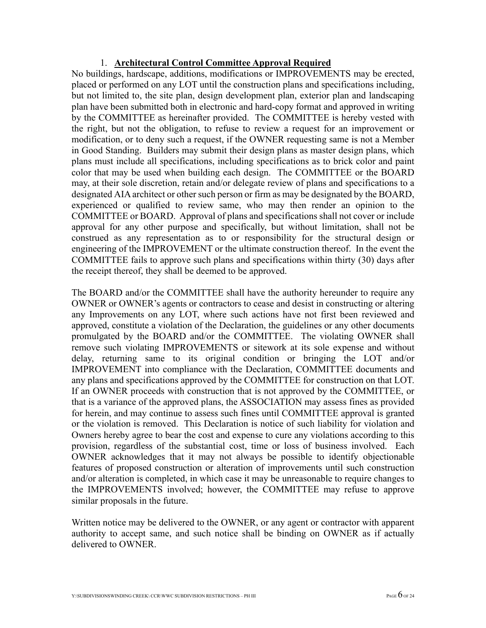### 1. **Architectural Control Committee Approval Required**

No buildings, hardscape, additions, modifications or IMPROVEMENTS may be erected, placed or performed on any LOT until the construction plans and specifications including, but not limited to, the site plan, design development plan, exterior plan and landscaping plan have been submitted both in electronic and hard-copy format and approved in writing by the COMMITTEE as hereinafter provided. The COMMITTEE is hereby vested with the right, but not the obligation, to refuse to review a request for an improvement or modification, or to deny such a request, if the OWNER requesting same is not a Member in Good Standing. Builders may submit their design plans as master design plans, which plans must include all specifications, including specifications as to brick color and paint color that may be used when building each design. The COMMITTEE or the BOARD may, at their sole discretion, retain and/or delegate review of plans and specifications to a designated AIA architect or other such person or firm as may be designated by the BOARD, experienced or qualified to review same, who may then render an opinion to the COMMITTEE or BOARD. Approval of plans and specifications shall not cover or include approval for any other purpose and specifically, but without limitation, shall not be construed as any representation as to or responsibility for the structural design or engineering of the IMPROVEMENT or the ultimate construction thereof. In the event the COMMITTEE fails to approve such plans and specifications within thirty (30) days after the receipt thereof, they shall be deemed to be approved.

The BOARD and/or the COMMITTEE shall have the authority hereunder to require any OWNER or OWNER's agents or contractors to cease and desist in constructing or altering any Improvements on any LOT, where such actions have not first been reviewed and approved, constitute a violation of the Declaration, the guidelines or any other documents promulgated by the BOARD and/or the COMMITTEE. The violating OWNER shall remove such violating IMPROVEMENTS or sitework at its sole expense and without delay, returning same to its original condition or bringing the LOT and/or IMPROVEMENT into compliance with the Declaration, COMMITTEE documents and any plans and specifications approved by the COMMITTEE for construction on that LOT. If an OWNER proceeds with construction that is not approved by the COMMITTEE, or that is a variance of the approved plans, the ASSOCIATION may assess fines as provided for herein, and may continue to assess such fines until COMMITTEE approval is granted or the violation is removed. This Declaration is notice of such liability for violation and Owners hereby agree to bear the cost and expense to cure any violations according to this provision, regardless of the substantial cost, time or loss of business involved. Each OWNER acknowledges that it may not always be possible to identify objectionable features of proposed construction or alteration of improvements until such construction and/or alteration is completed, in which case it may be unreasonable to require changes to the IMPROVEMENTS involved; however, the COMMITTEE may refuse to approve similar proposals in the future.

Written notice may be delivered to the OWNER, or any agent or contractor with apparent authority to accept same, and such notice shall be binding on OWNER as if actually delivered to OWNER.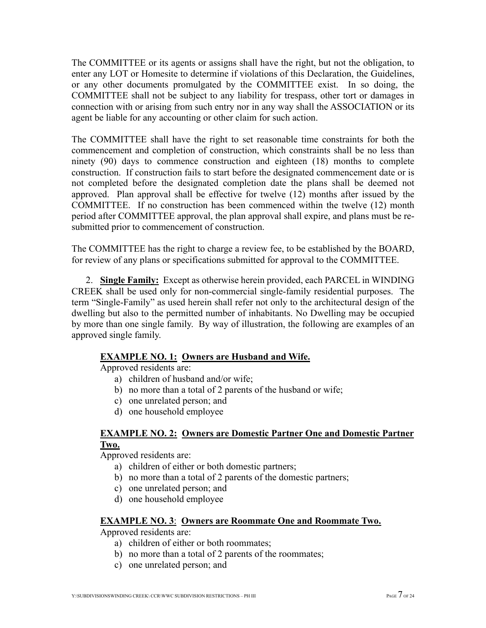The COMMITTEE or its agents or assigns shall have the right, but not the obligation, to enter any LOT or Homesite to determine if violations of this Declaration, the Guidelines, or any other documents promulgated by the COMMITTEE exist. In so doing, the COMMITTEE shall not be subject to any liability for trespass, other tort or damages in connection with or arising from such entry nor in any way shall the ASSOCIATION or its agent be liable for any accounting or other claim for such action.

The COMMITTEE shall have the right to set reasonable time constraints for both the commencement and completion of construction, which constraints shall be no less than ninety (90) days to commence construction and eighteen (18) months to complete construction. If construction fails to start before the designated commencement date or is not completed before the designated completion date the plans shall be deemed not approved. Plan approval shall be effective for twelve (12) months after issued by the COMMITTEE. If no construction has been commenced within the twelve (12) month period after COMMITTEE approval, the plan approval shall expire, and plans must be resubmitted prior to commencement of construction.

The COMMITTEE has the right to charge a review fee, to be established by the BOARD, for review of any plans or specifications submitted for approval to the COMMITTEE.

2. **Single Family:** Except as otherwise herein provided, each PARCEL in WINDING CREEK shall be used only for non-commercial single-family residential purposes. The term "Single-Family" as used herein shall refer not only to the architectural design of the dwelling but also to the permitted number of inhabitants. No Dwelling may be occupied by more than one single family. By way of illustration, the following are examples of an approved single family.

## **EXAMPLE NO. 1: Owners are Husband and Wife.**

Approved residents are:

- a) children of husband and/or wife;
- b) no more than a total of 2 parents of the husband or wife;
- c) one unrelated person; and
- d) one household employee

## **EXAMPLE NO. 2: Owners are Domestic Partner One and Domestic Partner Two.**

Approved residents are:

- a) children of either or both domestic partners;
- b) no more than a total of 2 parents of the domestic partners;
- c) one unrelated person; and
- d) one household employee

### **EXAMPLE NO. 3**: **Owners are Roommate One and Roommate Two.**

Approved residents are:

- a) children of either or both roommates;
- b) no more than a total of 2 parents of the roommates;
- c) one unrelated person; and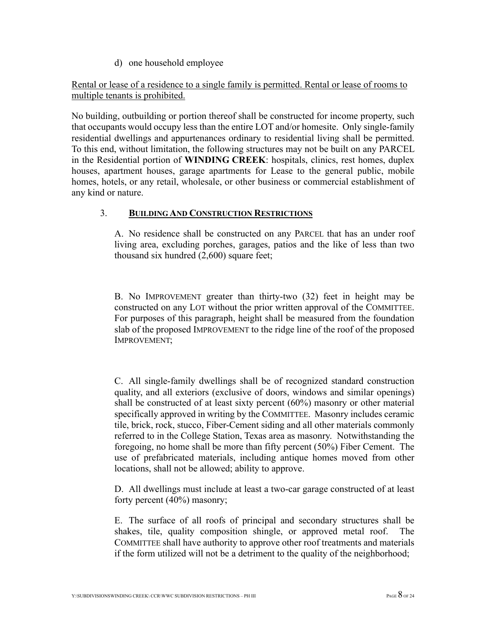d) one household employee

Rental or lease of a residence to a single family is permitted. Rental or lease of rooms to multiple tenants is prohibited.

No building, outbuilding or portion thereof shall be constructed for income property, such that occupants would occupy less than the entire LOT and/or homesite. Only single-family residential dwellings and appurtenances ordinary to residential living shall be permitted. To this end, without limitation, the following structures may not be built on any PARCEL in the Residential portion of **WINDING CREEK**: hospitals, clinics, rest homes, duplex houses, apartment houses, garage apartments for Lease to the general public, mobile homes, hotels, or any retail, wholesale, or other business or commercial establishment of any kind or nature.

### 3. **BUILDING AND CONSTRUCTION RESTRICTIONS**

A. No residence shall be constructed on any PARCEL that has an under roof living area, excluding porches, garages, patios and the like of less than two thousand six hundred (2,600) square feet;

B. No IMPROVEMENT greater than thirty-two (32) feet in height may be constructed on any LOT without the prior written approval of the COMMITTEE. For purposes of this paragraph, height shall be measured from the foundation slab of the proposed IMPROVEMENT to the ridge line of the roof of the proposed IMPROVEMENT;

C. All single-family dwellings shall be of recognized standard construction quality, and all exteriors (exclusive of doors, windows and similar openings) shall be constructed of at least sixty percent (60%) masonry or other material specifically approved in writing by the COMMITTEE. Masonry includes ceramic tile, brick, rock, stucco, Fiber-Cement siding and all other materials commonly referred to in the College Station, Texas area as masonry. Notwithstanding the foregoing, no home shall be more than fifty percent (50%) Fiber Cement. The use of prefabricated materials, including antique homes moved from other locations, shall not be allowed; ability to approve.

D. All dwellings must include at least a two-car garage constructed of at least forty percent (40%) masonry;

E. The surface of all roofs of principal and secondary structures shall be shakes, tile, quality composition shingle, or approved metal roof. The COMMITTEE shall have authority to approve other roof treatments and materials if the form utilized will not be a detriment to the quality of the neighborhood;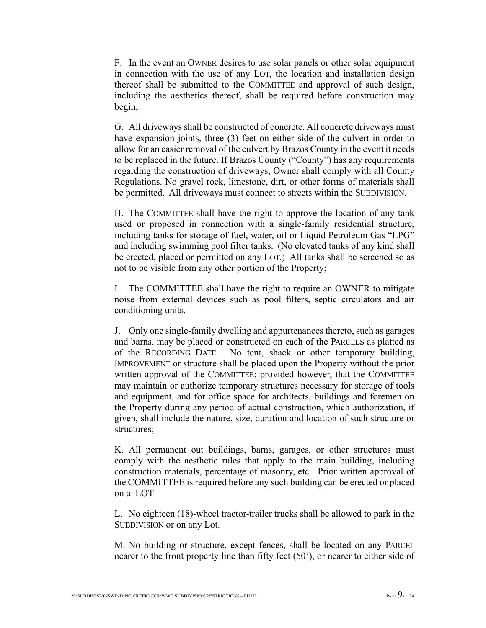F. In the event an OWNER desires to use solar panels or other solar equipment in connection with the use of any LOT, the location and installation design thereof shall be submitted to the COMMITTEE and approval of such design, including the aesthetics thereof, shall be required before construction may begin;

G. All driveways shall be constructed of concrete. All concrete driveways must have expansion joints, three (3) feet on either side of the culvert in order to allow for an easier removal of the culvert by Brazos County in the event it needs to be replaced in the future. If Brazos County ("County") has any requirements regarding the construction of driveways, Owner shall comply with all County Regulations. No gravel rock, limestone, dirt, or other forms of materials shall be permitted. All driveways must connect to streets within the SUBDIVISION.

H. The COMMITTEE shall have the right to approve the location of any tank used or proposed in connection with a single-family residential structure, including tanks for storage of fuel, water, oil or Liquid Petroleum Gas "LPG" and including swimming pool filter tanks. (No elevated tanks of any kind shall be erected, placed or permitted on any LOT.) All tanks shall be screened so as not to be visible from any other portion of the Property;

I. The COMMITTEE shall have the right to require an OWNER to mitigate noise from external devices such as pool filters, septic circulators and air conditioning units.

J. Only one single-family dwelling and appurtenances thereto, such as garages and barns, may be placed or constructed on each of the PARCELS as platted as of the RECORDING DATE. No tent, shack or other temporary building, IMPROVEMENT or structure shall be placed upon the Property without the prior written approval of the COMMITTEE; provided however, that the COMMITTEE may maintain or authorize temporary structures necessary for storage of tools and equipment, and for office space for architects, buildings and foremen on the Property during any period of actual construction, which authorization, if given, shall include the nature, size, duration and location of such structure or structures;

K. All permanent out buildings, barns, garages, or other structures must comply with the aesthetic rules that apply to the main building, including construction materials, percentage of masonry, etc. Prior written approval of the COMMITTEE is required before any such building can be erected or placed on a LOT

L. No eighteen (18)-wheel tractor-trailer trucks shall be allowed to park in the SUBDIVISION or on any Lot.

M. No building or structure, except fences, shall be located on any PARCEL nearer to the front property line than fifty feet (50'), or nearer to either side of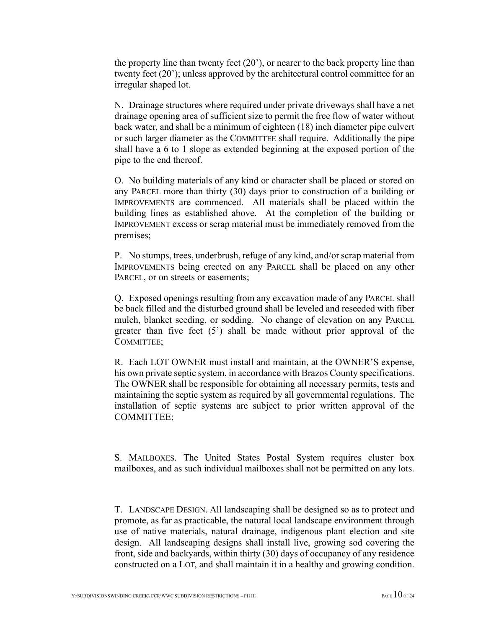the property line than twenty feet  $(20)$ , or nearer to the back property line than twenty feet (20'); unless approved by the architectural control committee for an irregular shaped lot.

N. Drainage structures where required under private driveways shall have a net drainage opening area of sufficient size to permit the free flow of water without back water, and shall be a minimum of eighteen (18) inch diameter pipe culvert or such larger diameter as the COMMITTEE shall require. Additionally the pipe shall have a 6 to 1 slope as extended beginning at the exposed portion of the pipe to the end thereof.

O. No building materials of any kind or character shall be placed or stored on any PARCEL more than thirty (30) days prior to construction of a building or IMPROVEMENTS are commenced. All materials shall be placed within the building lines as established above. At the completion of the building or IMPROVEMENT excess or scrap material must be immediately removed from the premises;

P. No stumps, trees, underbrush, refuge of any kind, and/or scrap material from IMPROVEMENTS being erected on any PARCEL shall be placed on any other PARCEL, or on streets or easements;

Q. Exposed openings resulting from any excavation made of any PARCEL shall be back filled and the disturbed ground shall be leveled and reseeded with fiber mulch, blanket seeding, or sodding. No change of elevation on any PARCEL greater than five feet (5') shall be made without prior approval of the COMMITTEE;

R. Each LOT OWNER must install and maintain, at the OWNER'S expense, his own private septic system, in accordance with Brazos County specifications. The OWNER shall be responsible for obtaining all necessary permits, tests and maintaining the septic system as required by all governmental regulations. The installation of septic systems are subject to prior written approval of the COMMITTEE;

S. MAILBOXES. The United States Postal System requires cluster box mailboxes, and as such individual mailboxes shall not be permitted on any lots.

T. LANDSCAPE DESIGN. All landscaping shall be designed so as to protect and promote, as far as practicable, the natural local landscape environment through use of native materials, natural drainage, indigenous plant election and site design. All landscaping designs shall install live, growing sod covering the front, side and backyards, within thirty (30) days of occupancy of any residence constructed on a LOT, and shall maintain it in a healthy and growing condition.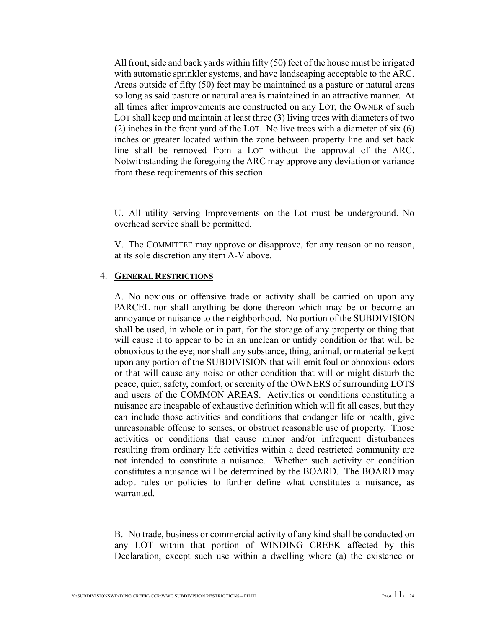All front, side and back yards within fifty (50) feet of the house must be irrigated with automatic sprinkler systems, and have landscaping acceptable to the ARC. Areas outside of fifty (50) feet may be maintained as a pasture or natural areas so long as said pasture or natural area is maintained in an attractive manner. At all times after improvements are constructed on any LOT, the OWNER of such LOT shall keep and maintain at least three (3) living trees with diameters of two (2) inches in the front yard of the LOT. No live trees with a diameter of six (6) inches or greater located within the zone between property line and set back line shall be removed from a LOT without the approval of the ARC. Notwithstanding the foregoing the ARC may approve any deviation or variance from these requirements of this section.

U. All utility serving Improvements on the Lot must be underground. No overhead service shall be permitted.

V. The COMMITTEE may approve or disapprove, for any reason or no reason, at its sole discretion any item A-V above.

#### 4. **GENERAL RESTRICTIONS**

A. No noxious or offensive trade or activity shall be carried on upon any PARCEL nor shall anything be done thereon which may be or become an annoyance or nuisance to the neighborhood. No portion of the SUBDIVISION shall be used, in whole or in part, for the storage of any property or thing that will cause it to appear to be in an unclean or untidy condition or that will be obnoxious to the eye; nor shall any substance, thing, animal, or material be kept upon any portion of the SUBDIVISION that will emit foul or obnoxious odors or that will cause any noise or other condition that will or might disturb the peace, quiet, safety, comfort, or serenity of the OWNERS of surrounding LOTS and users of the COMMON AREAS. Activities or conditions constituting a nuisance are incapable of exhaustive definition which will fit all cases, but they can include those activities and conditions that endanger life or health, give unreasonable offense to senses, or obstruct reasonable use of property. Those activities or conditions that cause minor and/or infrequent disturbances resulting from ordinary life activities within a deed restricted community are not intended to constitute a nuisance. Whether such activity or condition constitutes a nuisance will be determined by the BOARD. The BOARD may adopt rules or policies to further define what constitutes a nuisance, as warranted.

B. No trade, business or commercial activity of any kind shall be conducted on any LOT within that portion of WINDING CREEK affected by this Declaration, except such use within a dwelling where (a) the existence or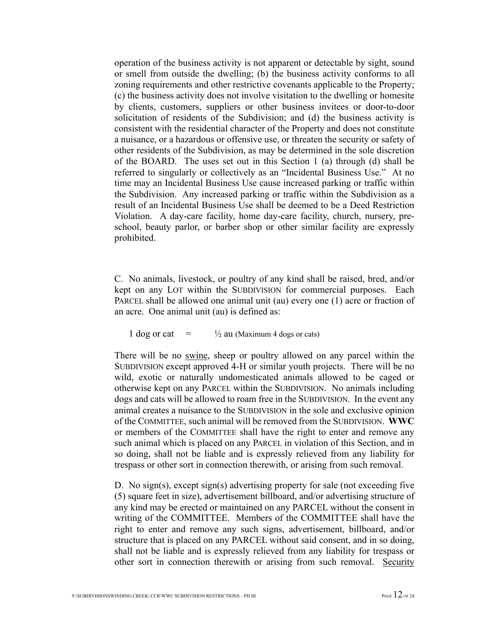operation of the business activity is not apparent or detectable by sight, sound or smell from outside the dwelling; (b) the business activity conforms to all zoning requirements and other restrictive covenants applicable to the Property; (c) the business activity does not involve visitation to the dwelling or homesite by clients, customers, suppliers or other business invitees or door-to-door solicitation of residents of the Subdivision; and (d) the business activity is consistent with the residential character of the Property and does not constitute a nuisance, or a hazardous or offensive use, or threaten the security or safety of other residents of the Subdivision, as may be determined in the sole discretion of the BOARD. The uses set out in this Section 1 (a) through (d) shall be referred to singularly or collectively as an "Incidental Business Use." At no time may an Incidental Business Use cause increased parking or traffic within the Subdivision. Any increased parking or traffic within the Subdivision as a result of an Incidental Business Use shall be deemed to be a Deed Restriction Violation. A day-care facility, home day-care facility, church, nursery, preschool, beauty parlor, or barber shop or other similar facility are expressly prohibited.

C. No animals, livestock, or poultry of any kind shall be raised, bred, and/or kept on any LOT within the SUBDIVISION for commercial purposes. Each PARCEL shall be allowed one animal unit (au) every one (1) acre or fraction of an acre. One animal unit (au) is defined as:

1 dog or cat  $=$   $\frac{1}{2}$  au (Maximum 4 dogs or cats)

There will be no swine, sheep or poultry allowed on any parcel within the SUBDIVISION except approved 4-H or similar youth projects. There will be no wild, exotic or naturally undomesticated animals allowed to be caged or otherwise kept on any PARCEL within the SUBDIVISION. No animals including dogs and cats will be allowed to roam free in the SUBDIVISION. In the event any animal creates a nuisance to the SUBDIVISION in the sole and exclusive opinion of the COMMITTEE, such animal will be removed from the SUBDIVISION. **WWC** or members of the COMMITTEE shall have the right to enter and remove any such animal which is placed on any PARCEL in violation of this Section, and in so doing, shall not be liable and is expressly relieved from any liability for trespass or other sort in connection therewith, or arising from such removal.

D. No sign(s), except sign(s) advertising property for sale (not exceeding five (5) square feet in size), advertisement billboard, and/or advertising structure of any kind may be erected or maintained on any PARCEL without the consent in writing of the COMMITTEE. Members of the COMMITTEE shall have the right to enter and remove any such signs, advertisement, billboard, and/or structure that is placed on any PARCEL without said consent, and in so doing, shall not be liable and is expressly relieved from any liability for trespass or other sort in connection therewith or arising from such removal. Security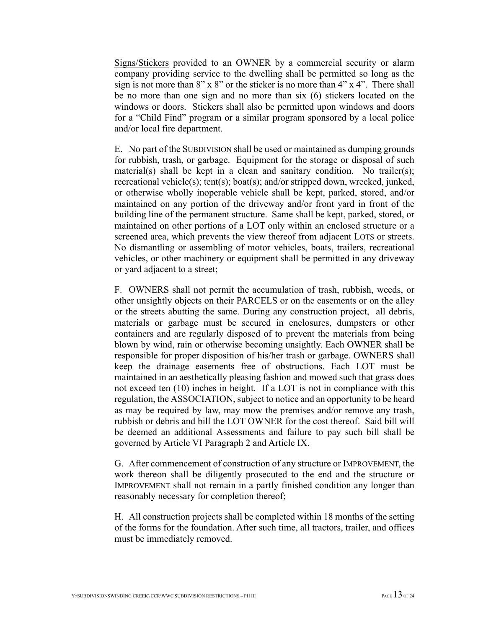Signs/Stickers provided to an OWNER by a commercial security or alarm company providing service to the dwelling shall be permitted so long as the sign is not more than  $8" \times 8"$  or the sticker is no more than  $4" \times 4"$ . There shall be no more than one sign and no more than six (6) stickers located on the windows or doors. Stickers shall also be permitted upon windows and doors for a "Child Find" program or a similar program sponsored by a local police and/or local fire department.

E. No part of the SUBDIVISION shall be used or maintained as dumping grounds for rubbish, trash, or garbage. Equipment for the storage or disposal of such material(s) shall be kept in a clean and sanitary condition. No trailer(s); recreational vehicle(s); tent(s); boat(s); and/or stripped down, wrecked, junked, or otherwise wholly inoperable vehicle shall be kept, parked, stored, and/or maintained on any portion of the driveway and/or front yard in front of the building line of the permanent structure. Same shall be kept, parked, stored, or maintained on other portions of a LOT only within an enclosed structure or a screened area, which prevents the view thereof from adjacent LOTS or streets. No dismantling or assembling of motor vehicles, boats, trailers, recreational vehicles, or other machinery or equipment shall be permitted in any driveway or yard adjacent to a street;

F. OWNERS shall not permit the accumulation of trash, rubbish, weeds, or other unsightly objects on their PARCELS or on the easements or on the alley or the streets abutting the same. During any construction project, all debris, materials or garbage must be secured in enclosures, dumpsters or other containers and are regularly disposed of to prevent the materials from being blown by wind, rain or otherwise becoming unsightly. Each OWNER shall be responsible for proper disposition of his/her trash or garbage. OWNERS shall keep the drainage easements free of obstructions. Each LOT must be maintained in an aesthetically pleasing fashion and mowed such that grass does not exceed ten (10) inches in height. If a LOT is not in compliance with this regulation, the ASSOCIATION, subject to notice and an opportunity to be heard as may be required by law, may mow the premises and/or remove any trash, rubbish or debris and bill the LOT OWNER for the cost thereof. Said bill will be deemed an additional Assessments and failure to pay such bill shall be governed by Article VI Paragraph 2 and Article IX.

G. After commencement of construction of any structure or IMPROVEMENT, the work thereon shall be diligently prosecuted to the end and the structure or IMPROVEMENT shall not remain in a partly finished condition any longer than reasonably necessary for completion thereof;

H. All construction projects shall be completed within 18 months of the setting of the forms for the foundation. After such time, all tractors, trailer, and offices must be immediately removed.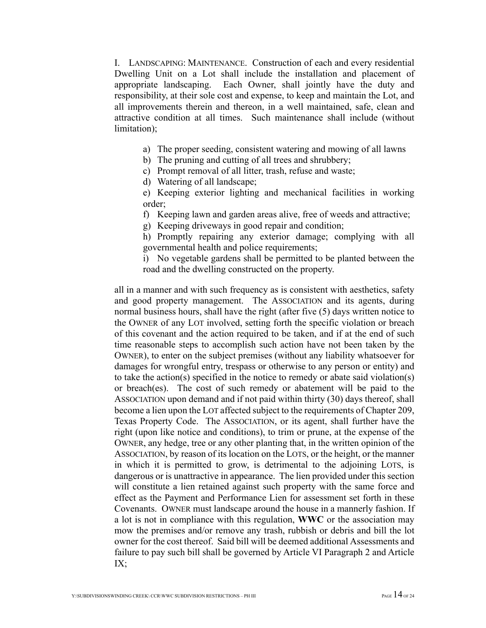I. LANDSCAPING: MAINTENANCE. Construction of each and every residential Dwelling Unit on a Lot shall include the installation and placement of appropriate landscaping. Each Owner, shall jointly have the duty and responsibility, at their sole cost and expense, to keep and maintain the Lot, and all improvements therein and thereon, in a well maintained, safe, clean and attractive condition at all times. Such maintenance shall include (without limitation);

- a) The proper seeding, consistent watering and mowing of all lawns
- b) The pruning and cutting of all trees and shrubbery;
- c) Prompt removal of all litter, trash, refuse and waste;
- d) Watering of all landscape;
- e) Keeping exterior lighting and mechanical facilities in working order;
- f) Keeping lawn and garden areas alive, free of weeds and attractive;
- g) Keeping driveways in good repair and condition;
- h) Promptly repairing any exterior damage; complying with all governmental health and police requirements;
- i) No vegetable gardens shall be permitted to be planted between the road and the dwelling constructed on the property.

all in a manner and with such frequency as is consistent with aesthetics, safety and good property management. The ASSOCIATION and its agents, during normal business hours, shall have the right (after five (5) days written notice to the OWNER of any LOT involved, setting forth the specific violation or breach of this covenant and the action required to be taken, and if at the end of such time reasonable steps to accomplish such action have not been taken by the OWNER), to enter on the subject premises (without any liability whatsoever for damages for wrongful entry, trespass or otherwise to any person or entity) and to take the action(s) specified in the notice to remedy or abate said violation(s) or breach(es). The cost of such remedy or abatement will be paid to the ASSOCIATION upon demand and if not paid within thirty (30) days thereof, shall become a lien upon the LOT affected subject to the requirements of Chapter 209, Texas Property Code. The ASSOCIATION, or its agent, shall further have the right (upon like notice and conditions), to trim or prune, at the expense of the OWNER, any hedge, tree or any other planting that, in the written opinion of the ASSOCIATION, by reason of its location on the LOTS, or the height, or the manner in which it is permitted to grow, is detrimental to the adjoining LOTS, is dangerous or is unattractive in appearance. The lien provided under this section will constitute a lien retained against such property with the same force and effect as the Payment and Performance Lien for assessment set forth in these Covenants. OWNER must landscape around the house in a mannerly fashion. If a lot is not in compliance with this regulation, **WWC** or the association may mow the premises and/or remove any trash, rubbish or debris and bill the lot owner for the cost thereof. Said bill will be deemed additional Assessments and failure to pay such bill shall be governed by Article VI Paragraph 2 and Article IX;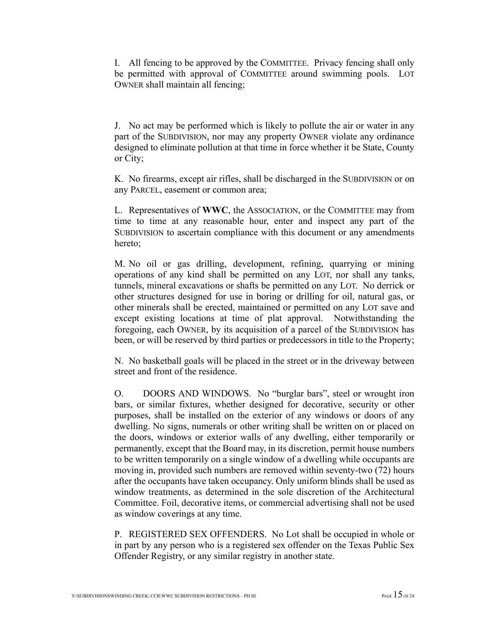I. All fencing to be approved by the COMMITTEE. Privacy fencing shall only be permitted with approval of COMMITTEE around swimming pools. LOT OWNER shall maintain all fencing;

J. No act may be performed which is likely to pollute the air or water in any part of the SUBDIVISION, nor may any property OWNER violate any ordinance designed to eliminate pollution at that time in force whether it be State, County or City;

K. No firearms, except air rifles, shall be discharged in the SUBDIVISION or on any PARCEL, easement or common area;

L. Representatives of **WWC**, the ASSOCIATION, or the COMMITTEE may from time to time at any reasonable hour, enter and inspect any part of the SUBDIVISION to ascertain compliance with this document or any amendments hereto;

M. No oil or gas drilling, development, refining, quarrying or mining operations of any kind shall be permitted on any LOT, nor shall any tanks, tunnels, mineral excavations or shafts be permitted on any LOT. No derrick or other structures designed for use in boring or drilling for oil, natural gas, or other minerals shall be erected, maintained or permitted on any LOT save and except existing locations at time of plat approval. Notwithstanding the foregoing, each OWNER, by its acquisition of a parcel of the SUBDIVISION has been, or will be reserved by third parties or predecessors in title to the Property;

N. No basketball goals will be placed in the street or in the driveway between street and front of the residence.

O. DOORS AND WINDOWS. No "burglar bars", steel or wrought iron bars, or similar fixtures, whether designed for decorative, security or other purposes, shall be installed on the exterior of any windows or doors of any dwelling. No signs, numerals or other writing shall be written on or placed on the doors, windows or exterior walls of any dwelling, either temporarily or permanently, except that the Board may, in its discretion, permit house numbers to be written temporarily on a single window of a dwelling while occupants are moving in, provided such numbers are removed within seventy-two (72) hours after the occupants have taken occupancy. Only uniform blinds shall be used as window treatments, as determined in the sole discretion of the Architectural Committee. Foil, decorative items, or commercial advertising shall not be used as window coverings at any time.

P. REGISTERED SEX OFFENDERS. No Lot shall be occupied in whole or in part by any person who is a registered sex offender on the Texas Public Sex Offender Registry, or any similar registry in another state.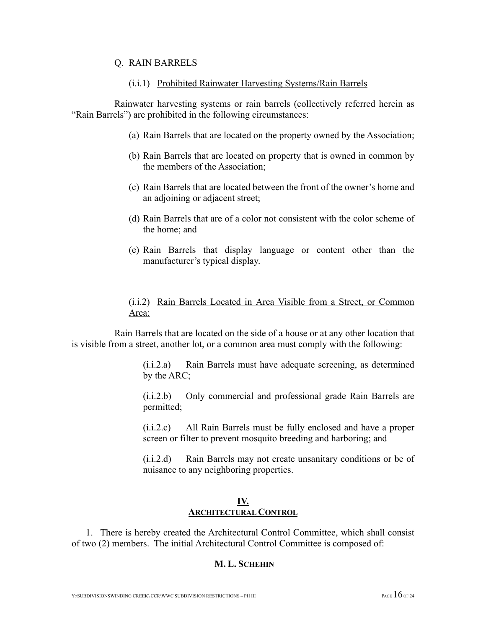#### Q. RAIN BARRELS

#### (i.i.1) Prohibited Rainwater Harvesting Systems/Rain Barrels

Rainwater harvesting systems or rain barrels (collectively referred herein as "Rain Barrels") are prohibited in the following circumstances:

- (a) Rain Barrels that are located on the property owned by the Association;
- (b) Rain Barrels that are located on property that is owned in common by the members of the Association;
- (c) Rain Barrels that are located between the front of the owner's home and an adjoining or adjacent street;
- (d) Rain Barrels that are of a color not consistent with the color scheme of the home; and
- (e) Rain Barrels that display language or content other than the manufacturer's typical display.

### (i.i.2) Rain Barrels Located in Area Visible from a Street, or Common Area:

Rain Barrels that are located on the side of a house or at any other location that is visible from a street, another lot, or a common area must comply with the following:

> (i.i.2.a) Rain Barrels must have adequate screening, as determined by the ARC;

> (i.i.2.b) Only commercial and professional grade Rain Barrels are permitted;

> (i.i.2.c) All Rain Barrels must be fully enclosed and have a proper screen or filter to prevent mosquito breeding and harboring; and

> (i.i.2.d) Rain Barrels may not create unsanitary conditions or be of nuisance to any neighboring properties.

#### **IV. ARCHITECTURAL CONTROL**

1. There is hereby created the Architectural Control Committee, which shall consist of two (2) members. The initial Architectural Control Committee is composed of:

### **M. L. SCHEHIN**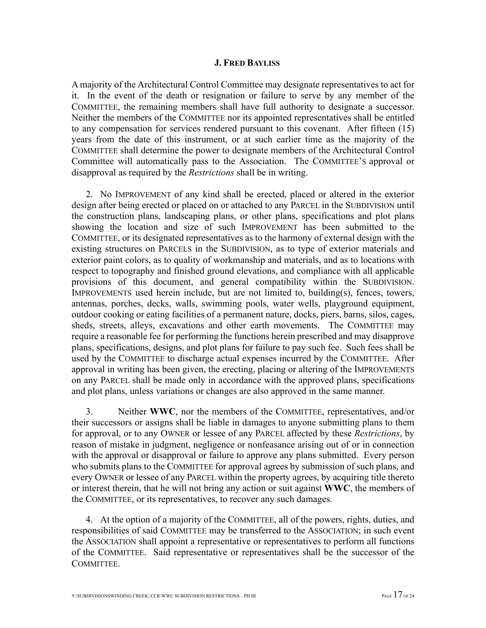#### **J. FRED BAYLISS**

A majority of the Architectural Control Committee may designate representatives to act for it. In the event of the death or resignation or failure to serve by any member of the COMMITTEE, the remaining members shall have full authority to designate a successor. Neither the members of the COMMITTEE nor its appointed representatives shall be entitled to any compensation for services rendered pursuant to this covenant. After fifteen (15) years from the date of this instrument, or at such earlier time as the majority of the COMMITTEE shall determine the power to designate members of the Architectural Control Committee will automatically pass to the Association. The COMMITTEE'S approval or disapproval as required by the *Restrictions* shall be in writing.

2. No IMPROVEMENT of any kind shall be erected, placed or altered in the exterior design after being erected or placed on or attached to any PARCEL in the SUBDIVISION until the construction plans, landscaping plans, or other plans, specifications and plot plans showing the location and size of such IMPROVEMENT has been submitted to the COMMITTEE, or its designated representatives as to the harmony of external design with the existing structures on PARCELS in the SUBDIVISION, as to type of exterior materials and exterior paint colors, as to quality of workmanship and materials, and as to locations with respect to topography and finished ground elevations, and compliance with all applicable provisions of this document, and general compatibility within the SUBDIVISION. IMPROVEMENTS used herein include, but are not limited to, building(s), fences, towers, antennas, porches, decks, walls, swimming pools, water wells, playground equipment, outdoor cooking or eating facilities of a permanent nature, docks, piers, barns, silos, cages, sheds, streets, alleys, excavations and other earth movements. The COMMITTEE may require a reasonable fee for performing the functions herein prescribed and may disapprove plans, specifications, designs, and plot plans for failure to pay such fee. Such fees shall be used by the COMMITTEE to discharge actual expenses incurred by the COMMITTEE. After approval in writing has been given, the erecting, placing or altering of the IMPROVEMENTS on any PARCEL shall be made only in accordance with the approved plans, specifications and plot plans, unless variations or changes are also approved in the same manner.

3. Neither **WWC**, nor the members of the COMMITTEE, representatives, and/or their successors or assigns shall be liable in damages to anyone submitting plans to them for approval, or to any OWNER or lessee of any PARCEL affected by these *Restrictions*, by reason of mistake in judgment, negligence or nonfeasance arising out of or in connection with the approval or disapproval or failure to approve any plans submitted. Every person who submits plans to the COMMITTEE for approval agrees by submission of such plans, and every OWNER or lessee of any PARCEL within the property agrees, by acquiring title thereto or interest therein, that he will not bring any action or suit against **WWC**, the members of the COMMITTEE, or its representatives, to recover any such damages.

4. At the option of a majority of the COMMITTEE, all of the powers, rights, duties, and responsibilities of said COMMITTEE may be transferred to the ASSOCIATION; in such event the ASSOCIATION shall appoint a representative or representatives to perform all functions of the COMMITTEE. Said representative or representatives shall be the successor of the COMMITTEE.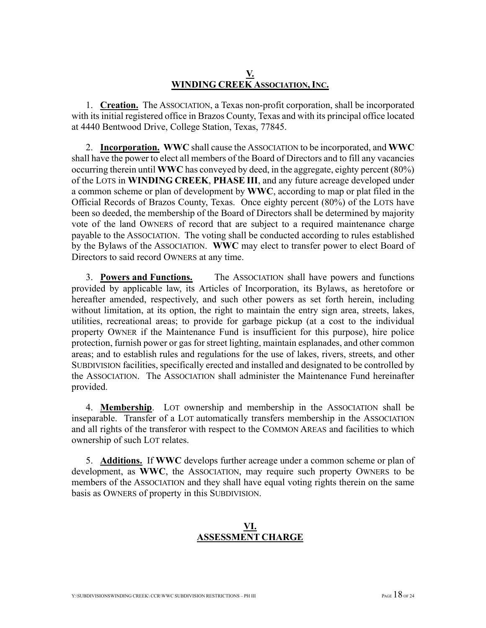### **V. WINDING CREEK ASSOCIATION, INC.**

1. **Creation.** The ASSOCIATION, a Texas non-profit corporation, shall be incorporated with its initial registered office in Brazos County, Texas and with its principal office located at 4440 Bentwood Drive, College Station, Texas, 77845.

2. **Incorporation. WWC** shall cause the ASSOCIATION to be incorporated, and **WWC** shall have the power to elect all members of the Board of Directors and to fill any vacancies occurring therein until **WWC** has conveyed by deed, in the aggregate, eighty percent (80%) of the LOTS in **WINDING CREEK**, **PHASE III**, and any future acreage developed under a common scheme or plan of development by **WWC**, according to map or plat filed in the Official Records of Brazos County, Texas. Once eighty percent (80%) of the LOTS have been so deeded, the membership of the Board of Directors shall be determined by majority vote of the land OWNERS of record that are subject to a required maintenance charge payable to the ASSOCIATION. The voting shall be conducted according to rules established by the Bylaws of the ASSOCIATION. **WWC** may elect to transfer power to elect Board of Directors to said record OWNERS at any time.

3. **Powers and Functions.** The ASSOCIATION shall have powers and functions provided by applicable law, its Articles of Incorporation, its Bylaws, as heretofore or hereafter amended, respectively, and such other powers as set forth herein, including without limitation, at its option, the right to maintain the entry sign area, streets, lakes, utilities, recreational areas; to provide for garbage pickup (at a cost to the individual property OWNER if the Maintenance Fund is insufficient for this purpose), hire police protection, furnish power or gas for street lighting, maintain esplanades, and other common areas; and to establish rules and regulations for the use of lakes, rivers, streets, and other SUBDIVISION facilities, specifically erected and installed and designated to be controlled by the ASSOCIATION. The ASSOCIATION shall administer the Maintenance Fund hereinafter provided.

4. **Membership**. LOT ownership and membership in the ASSOCIATION shall be inseparable. Transfer of a LOT automatically transfers membership in the ASSOCIATION and all rights of the transferor with respect to the COMMON AREAS and facilities to which ownership of such LOT relates.

5. **Additions.** If **WWC** develops further acreage under a common scheme or plan of development, as **WWC**, the ASSOCIATION, may require such property OWNERS to be members of the ASSOCIATION and they shall have equal voting rights therein on the same basis as OWNERS of property in this SUBDIVISION.

### **VI. ASSESSMENT CHARGE**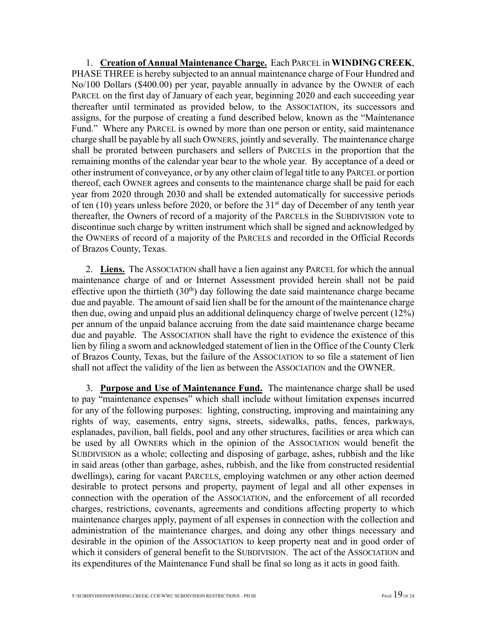1. **Creation of Annual Maintenance Charge.** Each PARCEL in **WINDING CREEK**, PHASE THREE is hereby subjected to an annual maintenance charge of Four Hundred and No/100 Dollars (\$400.00) per year, payable annually in advance by the OWNER of each PARCEL on the first day of January of each year, beginning 2020 and each succeeding year thereafter until terminated as provided below, to the ASSOCIATION, its successors and assigns, for the purpose of creating a fund described below, known as the "Maintenance Fund." Where any PARCEL is owned by more than one person or entity, said maintenance charge shall be payable by all such OWNERS, jointly and severally. The maintenance charge shall be prorated between purchasers and sellers of PARCELS in the proportion that the remaining months of the calendar year bear to the whole year. By acceptance of a deed or other instrument of conveyance, or by any other claim of legal title to any PARCEL or portion thereof, each OWNER agrees and consents to the maintenance charge shall be paid for each year from 2020 through 2030 and shall be extended automatically for successive periods of ten  $(10)$  years unless before 2020, or before the  $31<sup>st</sup>$  day of December of any tenth year thereafter, the Owners of record of a majority of the PARCELS in the SUBDIVISION vote to discontinue such charge by written instrument which shall be signed and acknowledged by the OWNERS of record of a majority of the PARCELS and recorded in the Official Records of Brazos County, Texas.

2. **Liens.** The ASSOCIATION shall have a lien against any PARCEL for which the annual maintenance charge of and or Internet Assessment provided herein shall not be paid effective upon the thirtieth  $(30<sup>th</sup>)$  day following the date said maintenance charge became due and payable. The amount of said lien shall be for the amount of the maintenance charge then due, owing and unpaid plus an additional delinquency charge of twelve percent (12%) per annum of the unpaid balance accruing from the date said maintenance charge became due and payable. The ASSOCIATION shall have the right to evidence the existence of this lien by filing a sworn and acknowledged statement of lien in the Office of the County Clerk of Brazos County, Texas, but the failure of the ASSOCIATION to so file a statement of lien shall not affect the validity of the lien as between the ASSOCIATION and the OWNER.

3. **Purpose and Use of Maintenance Fund.** The maintenance charge shall be used to pay "maintenance expenses" which shall include without limitation expenses incurred for any of the following purposes: lighting, constructing, improving and maintaining any rights of way, easements, entry signs, streets, sidewalks, paths, fences, parkways, esplanades, pavilion, ball fields, pool and any other structures, facilities or area which can be used by all OWNERS which in the opinion of the ASSOCIATION would benefit the SUBDIVISION as a whole; collecting and disposing of garbage, ashes, rubbish and the like in said areas (other than garbage, ashes, rubbish, and the like from constructed residential dwellings), caring for vacant PARCELS, employing watchmen or any other action deemed desirable to protect persons and property, payment of legal and all other expenses in connection with the operation of the ASSOCIATION, and the enforcement of all recorded charges, restrictions, covenants, agreements and conditions affecting property to which maintenance charges apply, payment of all expenses in connection with the collection and administration of the maintenance charges, and doing any other things necessary and desirable in the opinion of the ASSOCIATION to keep property neat and in good order of which it considers of general benefit to the SUBDIVISION. The act of the ASSOCIATION and its expenditures of the Maintenance Fund shall be final so long as it acts in good faith.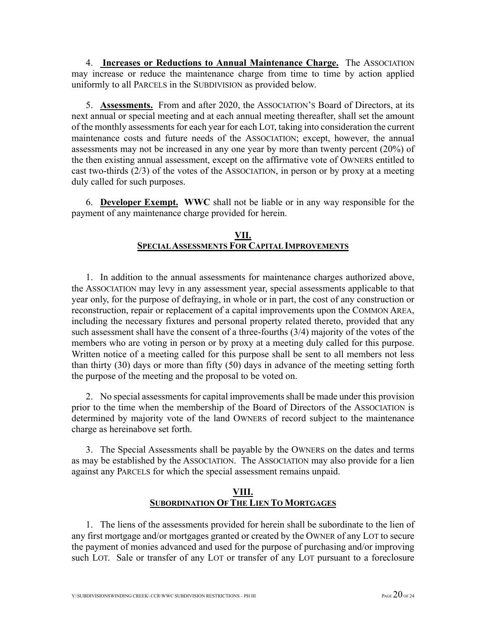4. **Increases or Reductions to Annual Maintenance Charge.** The ASSOCIATION may increase or reduce the maintenance charge from time to time by action applied uniformly to all PARCELS in the SUBDIVISION as provided below.

5. **Assessments.** From and after 2020, the ASSOCIATION'S Board of Directors, at its next annual or special meeting and at each annual meeting thereafter, shall set the amount of the monthly assessments for each year for each LOT, taking into consideration the current maintenance costs and future needs of the ASSOCIATION; except, however, the annual assessments may not be increased in any one year by more than twenty percent (20%) of the then existing annual assessment, except on the affirmative vote of OWNERS entitled to cast two-thirds (2/3) of the votes of the ASSOCIATION, in person or by proxy at a meeting duly called for such purposes.

6. **Developer Exempt. WWC** shall not be liable or in any way responsible for the payment of any maintenance charge provided for herein.

### **VII. SPECIAL ASSESSMENTS FOR CAPITAL IMPROVEMENTS**

1. In addition to the annual assessments for maintenance charges authorized above, the ASSOCIATION may levy in any assessment year, special assessments applicable to that year only, for the purpose of defraying, in whole or in part, the cost of any construction or reconstruction, repair or replacement of a capital improvements upon the COMMON AREA, including the necessary fixtures and personal property related thereto, provided that any such assessment shall have the consent of a three-fourths (3/4) majority of the votes of the members who are voting in person or by proxy at a meeting duly called for this purpose. Written notice of a meeting called for this purpose shall be sent to all members not less than thirty (30) days or more than fifty (50) days in advance of the meeting setting forth the purpose of the meeting and the proposal to be voted on.

2. No special assessments for capital improvements shall be made under this provision prior to the time when the membership of the Board of Directors of the ASSOCIATION is determined by majority vote of the land OWNERS of record subject to the maintenance charge as hereinabove set forth.

3. The Special Assessments shall be payable by the OWNERS on the dates and terms as may be established by the ASSOCIATION. The ASSOCIATION may also provide for a lien against any PARCELS for which the special assessment remains unpaid.

## **VIII. SUBORDINATION OF THE LIEN TO MORTGAGES**

1. The liens of the assessments provided for herein shall be subordinate to the lien of any first mortgage and/or mortgages granted or created by the OWNER of any LOT to secure the payment of monies advanced and used for the purpose of purchasing and/or improving such LOT. Sale or transfer of any LOT or transfer of any LOT pursuant to a foreclosure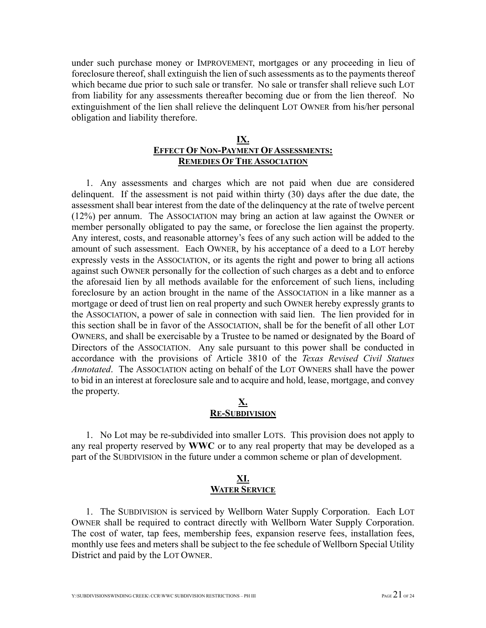under such purchase money or IMPROVEMENT, mortgages or any proceeding in lieu of foreclosure thereof, shall extinguish the lien of such assessments as to the payments thereof which became due prior to such sale or transfer. No sale or transfer shall relieve such LOT from liability for any assessments thereafter becoming due or from the lien thereof. No extinguishment of the lien shall relieve the delinquent LOT OWNER from his/her personal obligation and liability therefore.

### **IX. EFFECT OF NON-PAYMENT OF ASSESSMENTS: REMEDIES OF THE ASSOCIATION**

1. Any assessments and charges which are not paid when due are considered delinquent. If the assessment is not paid within thirty (30) days after the due date, the assessment shall bear interest from the date of the delinquency at the rate of twelve percent (12%) per annum. The ASSOCIATION may bring an action at law against the OWNER or member personally obligated to pay the same, or foreclose the lien against the property. Any interest, costs, and reasonable attorney's fees of any such action will be added to the amount of such assessment. Each OWNER, by his acceptance of a deed to a LOT hereby expressly vests in the ASSOCIATION, or its agents the right and power to bring all actions against such OWNER personally for the collection of such charges as a debt and to enforce the aforesaid lien by all methods available for the enforcement of such liens, including foreclosure by an action brought in the name of the ASSOCIATION in a like manner as a mortgage or deed of trust lien on real property and such OWNER hereby expressly grants to the ASSOCIATION, a power of sale in connection with said lien. The lien provided for in this section shall be in favor of the ASSOCIATION, shall be for the benefit of all other LOT OWNERS, and shall be exercisable by a Trustee to be named or designated by the Board of Directors of the ASSOCIATION. Any sale pursuant to this power shall be conducted in accordance with the provisions of Article 3810 of the *Texas Revised Civil Statues Annotated*. The ASSOCIATION acting on behalf of the LOT OWNERS shall have the power to bid in an interest at foreclosure sale and to acquire and hold, lease, mortgage, and convey the property.

#### **X. RE-SUBDIVISION**

1. No Lot may be re-subdivided into smaller LOTS. This provision does not apply to any real property reserved by **WWC** or to any real property that may be developed as a part of the SUBDIVISION in the future under a common scheme or plan of development.

### **XI. WATER SERVICE**

1. The SUBDIVISION is serviced by Wellborn Water Supply Corporation. Each LOT OWNER shall be required to contract directly with Wellborn Water Supply Corporation. The cost of water, tap fees, membership fees, expansion reserve fees, installation fees, monthly use fees and meters shall be subject to the fee schedule of Wellborn Special Utility District and paid by the LOT OWNER.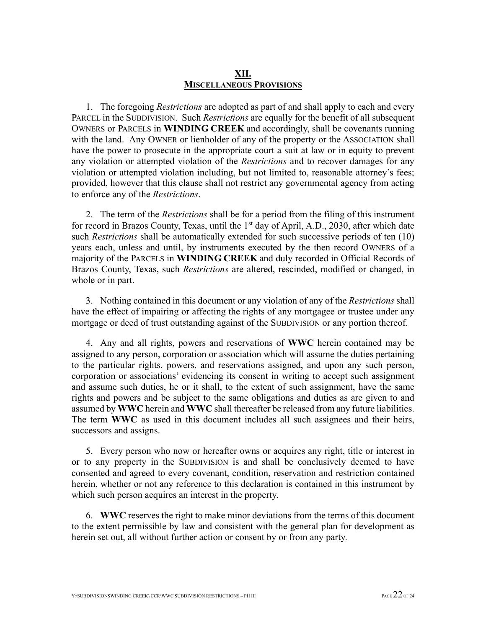#### **XII. MISCELLANEOUS PROVISIONS**

1. The foregoing *Restrictions* are adopted as part of and shall apply to each and every PARCEL in the SUBDIVISION. Such *Restrictions* are equally for the benefit of all subsequent OWNERS or PARCELS in **WINDING CREEK** and accordingly, shall be covenants running with the land. Any OWNER or lienholder of any of the property or the ASSOCIATION shall have the power to prosecute in the appropriate court a suit at law or in equity to prevent any violation or attempted violation of the *Restrictions* and to recover damages for any violation or attempted violation including, but not limited to, reasonable attorney's fees; provided, however that this clause shall not restrict any governmental agency from acting to enforce any of the *Restrictions*.

2. The term of the *Restrictions* shall be for a period from the filing of this instrument for record in Brazos County, Texas, until the 1<sup>st</sup> day of April, A.D., 2030, after which date such *Restrictions* shall be automatically extended for such successive periods of ten (10) years each, unless and until, by instruments executed by the then record OWNERS of a majority of the PARCELS in **WINDING CREEK** and duly recorded in Official Records of Brazos County, Texas, such *Restrictions* are altered, rescinded, modified or changed, in whole or in part.

3. Nothing contained in this document or any violation of any of the *Restrictions* shall have the effect of impairing or affecting the rights of any mortgagee or trustee under any mortgage or deed of trust outstanding against of the SUBDIVISION or any portion thereof.

4. Any and all rights, powers and reservations of **WWC** herein contained may be assigned to any person, corporation or association which will assume the duties pertaining to the particular rights, powers, and reservations assigned, and upon any such person, corporation or associations' evidencing its consent in writing to accept such assignment and assume such duties, he or it shall, to the extent of such assignment, have the same rights and powers and be subject to the same obligations and duties as are given to and assumed by **WWC** herein and **WWC** shall thereafter be released from any future liabilities. The term **WWC** as used in this document includes all such assignees and their heirs, successors and assigns.

5. Every person who now or hereafter owns or acquires any right, title or interest in or to any property in the SUBDIVISION is and shall be conclusively deemed to have consented and agreed to every covenant, condition, reservation and restriction contained herein, whether or not any reference to this declaration is contained in this instrument by which such person acquires an interest in the property.

6. **WWC** reserves the right to make minor deviations from the terms of this document to the extent permissible by law and consistent with the general plan for development as herein set out, all without further action or consent by or from any party.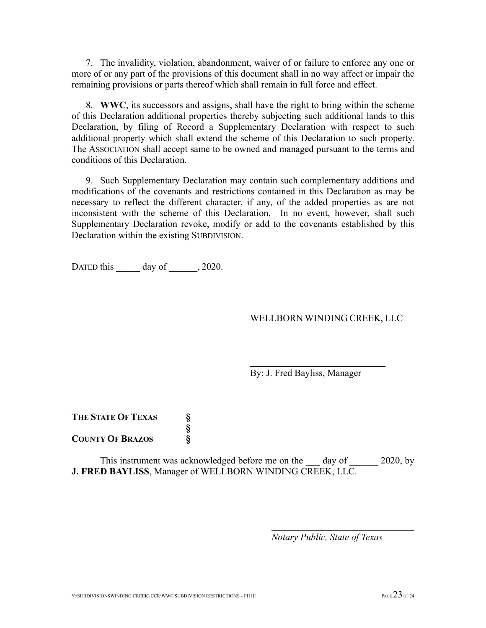7. The invalidity, violation, abandonment, waiver of or failure to enforce any one or more of or any part of the provisions of this document shall in no way affect or impair the remaining provisions or parts thereof which shall remain in full force and effect.

8. **WWC**, its successors and assigns, shall have the right to bring within the scheme of this Declaration additional properties thereby subjecting such additional lands to this Declaration, by filing of Record a Supplementary Declaration with respect to such additional property which shall extend the scheme of this Declaration to such property. The ASSOCIATION shall accept same to be owned and managed pursuant to the terms and conditions of this Declaration.

9. Such Supplementary Declaration may contain such complementary additions and modifications of the covenants and restrictions contained in this Declaration as may be necessary to reflect the different character, if any, of the added properties as are not inconsistent with the scheme of this Declaration. In no event, however, shall such Supplementary Declaration revoke, modify or add to the covenants established by this Declaration within the existing SUBDIVISION.

DATED this \_\_\_\_\_\_ day of  $\qquad$ , 2020.

### WELLBORN WINDING CREEK, LLC

By: J. Fred Bayliss, Manager

**THE STATE OF TEXAS § § COUNTY OF BRAZOS §**

This instrument was acknowledged before me on the day of 2020, by **J. FRED BAYLISS**, Manager of WELLBORN WINDING CREEK, LLC.

*Notary Public, State of Texas*